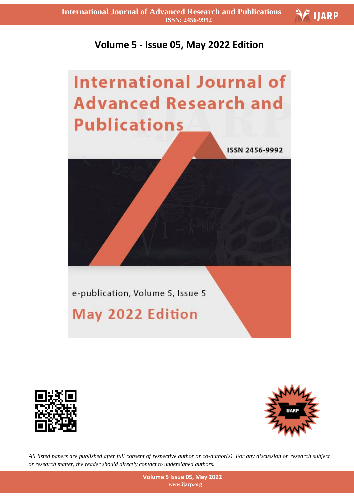

## **Volume 5 - Issue 05, May 2022 Edition**

## **International Journal of Advanced Research and Publications**



e-publication, Volume 5, Issue 5

## May 2022 Edition





*All listed papers are published after full consent of respective author or co-author(s). For any discussion on research subject or research matter, the reader should directly contact to undersigned authors.*

> **Volume 5 Issue 05, May 2022 www.ijarp.org**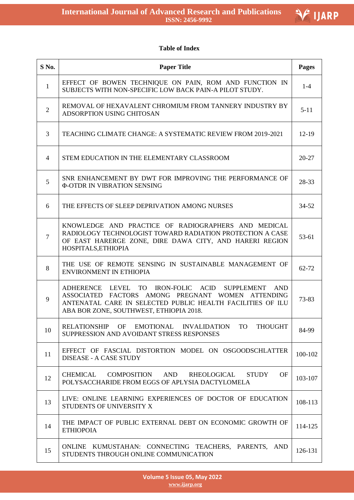

## **Table of Index**

| S No.        | <b>Paper Title</b>                                                                                                                                                                                                                     | Pages     |
|--------------|----------------------------------------------------------------------------------------------------------------------------------------------------------------------------------------------------------------------------------------|-----------|
| $\mathbf{1}$ | EFFECT OF BOWEN TECHNIQUE ON PAIN, ROM AND FUNCTION IN<br>SUBJECTS WITH NON-SPECIFIC LOW BACK PAIN-A PILOT STUDY.                                                                                                                      | $1-4$     |
| $\mathbf{2}$ | REMOVAL OF HEXAVALENT CHROMIUM FROM TANNERY INDUSTRY BY<br>ADSORPTION USING CHITOSAN                                                                                                                                                   | $5 - 11$  |
| 3            | TEACHING CLIMATE CHANGE: A SYSTEMATIC REVIEW FROM 2019-2021                                                                                                                                                                            | 12-19     |
| 4            | STEM EDUCATION IN THE ELEMENTARY CLASSROOM                                                                                                                                                                                             | $20 - 27$ |
| 5            | SNR ENHANCEMENT BY DWT FOR IMPROVING THE PERFORMANCE OF<br><b>Φ-OTDR IN VIBRATION SENSING</b>                                                                                                                                          | 28-33     |
| 6            | THE EFFECTS OF SLEEP DEPRIVATION AMONG NURSES                                                                                                                                                                                          | $34 - 52$ |
| 7            | KNOWLEDGE AND PRACTICE OF RADIOGRAPHERS AND MEDICAL<br>RADIOLOGY TECHNOLOGIST TOWARD RADIATION PROTECTION A CASE<br>OF EAST HARERGE ZONE, DIRE DAWA CITY, AND HARERI REGION<br>HOSPITALS, ETHIOPIA                                     | 53-61     |
| 8            | THE USE OF REMOTE SENSING IN SUSTAINABLE MANAGEMENT OF<br><b>ENVIRONMENT IN ETHIOPIA</b>                                                                                                                                               | 62-72     |
| 9            | IRON-FOLIC ACID<br>ADHERENCE LEVEL TO<br><b>SUPPLEMENT</b><br><b>AND</b><br>ASSOCIATED FACTORS AMONG PREGNANT WOMEN ATTENDING<br>ANTENATAL CARE IN SELECTED PUBLIC HEALTH FACILITIES OF ILU<br>ABA BOR ZONE, SOUTHWEST, ETHIOPIA 2018. | 73-83     |
| 10           | RELATIONSHIP OF EMOTIONAL INVALIDATION TO<br><b>THOUGHT</b><br>SUPPRESSION AND AVOIDANT STRESS RESPONSES                                                                                                                               | 84-99     |
| 11           | EFFECT OF FASCIAL DISTORTION MODEL ON OSGOODSCHLATTER<br>DISEASE - A CASE STUDY                                                                                                                                                        | 100-102   |
| 12           | COMPOSITION<br>AND<br>RHEOLOGICAL<br><b>STUDY</b><br>OF<br>CHEMICAL<br>POLYSACCHARIDE FROM EGGS OF APLYSIA DACTYLOMELA                                                                                                                 | 103-107   |
| 13           | LIVE: ONLINE LEARNING EXPERIENCES OF DOCTOR OF EDUCATION<br>STUDENTS OF UNIVERSITY X                                                                                                                                                   | 108-113   |
| 14           | THE IMPACT OF PUBLIC EXTERNAL DEBT ON ECONOMIC GROWTH OF<br><b>ETHIOPOIA</b>                                                                                                                                                           | 114-125   |
| 15           | ONLINE KUMUSTAHAN: CONNECTING TEACHERS, PARENTS, AND<br>STUDENTS THROUGH ONLINE COMMUNICATION                                                                                                                                          | 126-131   |